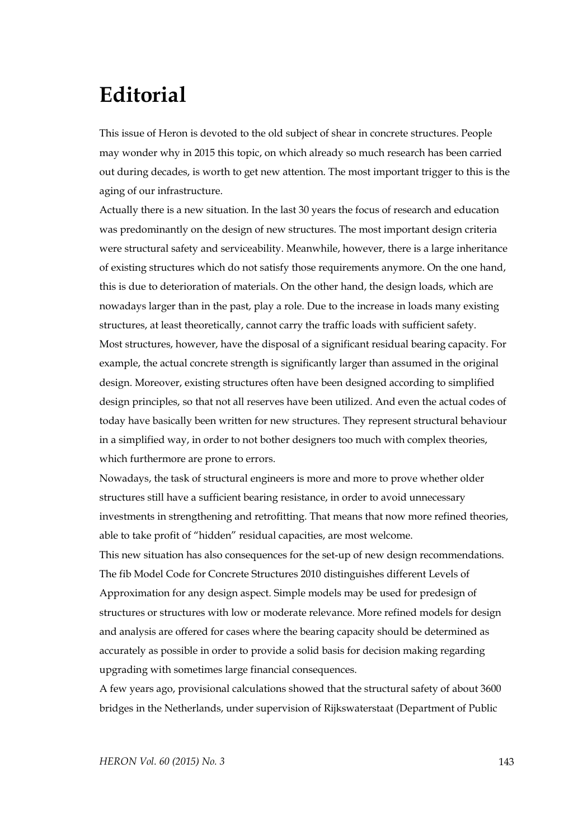## **Editorial**

This issue of Heron is devoted to the old subject of shear in concrete structures. People may wonder why in 2015 this topic, on which already so much research has been carried out during decades, is worth to get new attention. The most important trigger to this is the aging of our infrastructure.

Actually there is a new situation. In the last 30 years the focus of research and education was predominantly on the design of new structures. The most important design criteria were structural safety and serviceability. Meanwhile, however, there is a large inheritance of existing structures which do not satisfy those requirements anymore. On the one hand, this is due to deterioration of materials. On the other hand, the design loads, which are nowadays larger than in the past, play a role. Due to the increase in loads many existing structures, at least theoretically, cannot carry the traffic loads with sufficient safety. Most structures, however, have the disposal of a significant residual bearing capacity. For example, the actual concrete strength is significantly larger than assumed in the original design. Moreover, existing structures often have been designed according to simplified design principles, so that not all reserves have been utilized. And even the actual codes of today have basically been written for new structures. They represent structural behaviour in a simplified way, in order to not bother designers too much with complex theories, which furthermore are prone to errors.

Nowadays, the task of structural engineers is more and more to prove whether older structures still have a sufficient bearing resistance, in order to avoid unnecessary investments in strengthening and retrofitting. That means that now more refined theories, able to take profit of "hidden" residual capacities, are most welcome.

This new situation has also consequences for the set-up of new design recommendations. The fib Model Code for Concrete Structures 2010 distinguishes different Levels of Approximation for any design aspect. Simple models may be used for predesign of structures or structures with low or moderate relevance. More refined models for design and analysis are offered for cases where the bearing capacity should be determined as accurately as possible in order to provide a solid basis for decision making regarding upgrading with sometimes large financial consequences.

A few years ago, provisional calculations showed that the structural safety of about 3600 bridges in the Netherlands, under supervision of Rijkswaterstaat (Department of Public